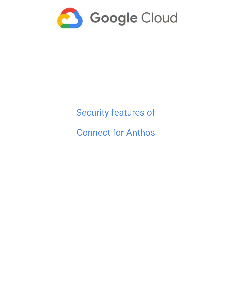<span id="page-0-0"></span>

# Security features of

Connect for Anthos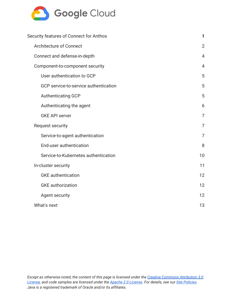

| Security features of Connect for Anthos | 1              |
|-----------------------------------------|----------------|
| <b>Architecture of Connect</b>          | $\overline{2}$ |
| Connect and defense-in-depth            | $\overline{4}$ |
| Component-to-component security         | $\overline{4}$ |
| User authentication to GCP              | 5              |
| GCP service-to-service authentication   | 5              |
| <b>Authenticating GCP</b>               | 5              |
| Authenticating the agent                | 6              |
| <b>GKE API server</b>                   | 7              |
| <b>Request security</b>                 | 7              |
| Service-to-agent authentication         | 7              |
| End-user authentication                 | 8              |
| Service-to-Kubernetes authentication    | 10             |
| In-cluster security                     | 11             |
| <b>GKE</b> authentication               | 12             |
| <b>GKE</b> authorization                | 12             |
| <b>Agent security</b>                   | 12             |
| What's next                             | 13             |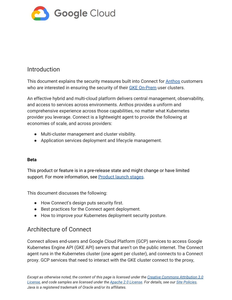

# Introduction

This document explains the security measures built into Connect for [Anthos](https://cloud.google.com/anthos/) customers who are interested in ensuring the security of their **[GKE On-Prem](https://cloud.google.com/gke-on-prem/)** user clusters.

An effective hybrid and multi-cloud platform delivers central management, observability, and access to services across environments. Anthos provides a uniform and comprehensive experience across those capabilities, no matter what Kubernetes provider you leverage. Connect is a lightweight agent to provide the following at economies of scale, and across providers:

- Multi-cluster management and cluster visibility.
- Application services deployment and lifecycle management.

#### **Beta**

This product or feature is in a pre-release state and might change or have limited support. For more information, see **[Product launch stages](https://cloud.google.com/products/#product-launch-stages)**.

This document discusses the following:

- How Connect's design puts security first.
- Best practices for the Connect agent deployment.
- How to improve your Kubernetes deployment security posture.

# <span id="page-2-0"></span>Architecture of Connect

Connect allows end-users and Google Cloud Platform (GCP) services to access Google Kubernetes Engine API (GKE API) servers that aren't on the public internet. The Connect agent runs in the Kubernetes cluster (one agent per cluster), and connects to a Connect proxy. GCP services that need to interact with the GKE cluster connect to the proxy,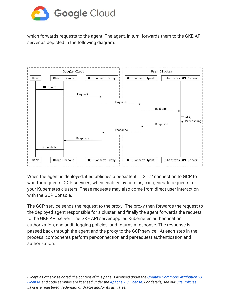

which forwards requests to the agent. The agent, in turn, forwards them to the GKE API server as depicted in the following diagram.



When the agent is deployed, it establishes a persistent TLS 1.2 connection to GCP to wait for requests. GCP services, when enabled by admins, can generate requests for your Kubernetes clusters. These requests may also come from direct user interaction with the GCP Console.

The GCP service sends the request to the proxy. The proxy then forwards the request to the deployed agent responsible for a cluster, and finally the agent forwards the request to the GKE API server. The GKE API server applies Kubernetes authentication, authorization, and audit-logging policies, and returns a response. The response is passed back through the agent and the proxy to the GCP service. At each step in the process, components perform per-connection and per-request authentication and authorization.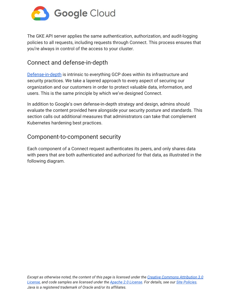

The GKE API server applies the same authentication, authorization, and audit-logging policies to all requests, including requests through Connect. This process ensures that you're always in control of the access to your cluster.

# <span id="page-4-0"></span>Connect and defense-in-depth

[Defense-in-depth](https://wikipedia.org/wiki/Defense_in_depth_(computing)) is intrinsic to everything GCP does within its infrastructure and security practices. We take a layered approach to every aspect of securing our organization and our customers in order to protect valuable data, information, and users. This is the same principle by which we've designed Connect.

In addition to Google's own defense-in-depth strategy and design, admins should evaluate the content provided here alongside your security posture and standards. This section calls out additional measures that administrators can take that complement Kubernetes hardening best practices.

## <span id="page-4-1"></span>Component-to-component security

Each component of a Connect request authenticates its peers, and only shares data with peers that are both authenticated and authorized for that data, as illustrated in the following diagram.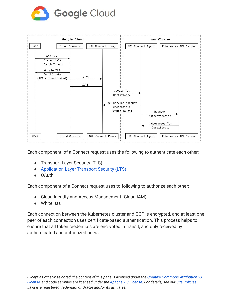



Each component of a Connect request uses the following to authenticate each other:

- Transport Layer Security (TLS)
- [Application Layer Transport Security \(LTS\)](https://cloud.google.com/security/encryption-in-transit/application-layer-transport-security/)
- OAuth

Each component of a Connect request uses to following to authorize each other:

- Cloud Identity and Access Management (Cloud IAM)
- Whitelists

Each connection between the Kubernetes cluster and GCP is encrypted, and at least one peer of each connection uses certificate-based authentication. This process helps to ensure that all token credentials are encrypted in transit, and only received by authenticated and authorized peers.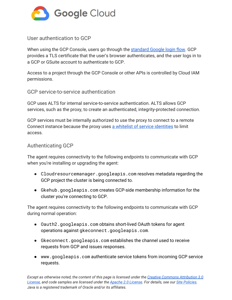

#### <span id="page-6-0"></span>User authentication to GCP

When using the GCP Console, users go through the [standard Google login flow.](https://developers.google.com/identity/) GCP provides a TLS certificate that the user's browser authenticates, and the user logs in to a GCP or GSuite account to authenticate to GCP.

Access to a project through the GCP Console or other APIs is controlled by Cloud IAM permissions.

#### <span id="page-6-1"></span>GCP service-to-service authentication

GCP uses ALTS for internal service-to-service authentication. ALTS allows GCP services, such as the proxy, to create an authenticated, integrity-protected connection.

GCP services must be internally authorized to use the proxy to connect to a remote Connect instance because the proxy uses [a whitelist of service identities](https://cloud.google.com/security/infrastructure/design/#inter-service_access_management) to limit access.

#### <span id="page-6-2"></span>Authenticating GCP

The agent requires connectivity to the following endpoints to communicate with GCP when you're installing or upgrading the agent:

- Cloudresourcemanager.googleapis.com resolves metadata regarding the GCP project the cluster is being connected to.
- Gkehub.googleapis.com creates GCP-side membership information for the cluster you're connecting to GCP.

The agent requires connectivity to the following endpoints to communicate with GCP during normal operation:

- Oauth2.googleapis.com obtains short-lived OAuth tokens for agent operations against gkeconnect.googleapis.com.
- Gkeconnect.googleapis.com establishes the channel used to receive requests from GCP and issues responses.
- www.googleapis.com authenticate service tokens from incoming GCP service requests.

Except as otherwise noted, the content of this page is licensed under the Creative Commons [Attribution](http://creativecommons.org/licenses/by/3.0/) 3.0 *[License,](http://creativecommons.org/licenses/by/3.0/) and code samples are licensed under the Apache 2.0 [License.](http://www.apache.org/licenses/LICENSE-2.0) For details, see our Site [Policies.](https://cloud.google.com/site-policies) Java is a registered trademark of Oracle and/or its affiliates.*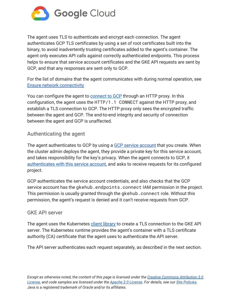

The agent uses TLS to authenticate and encrypt each connection. The agent authenticates GCP TLS certificates by using a set of root certificates built into the binary, to avoid inadvertently trusting certificates added to the agent's container. The agent only executes API calls against correctly authenticated endpoints. This process helps to ensure that service account certificates and the GKE API requests are sent by GCP, and that any responses are sent only to GCP.

For the list of domains that the agent communicates with during normal operation, see [Ensure network connectivity](https://cloud.google.com/anthos/multicluster-management/connect/registering-a-cluster#ensure_network_connectivity)

You can configure the agent to [connect to GCP](https://cloud.google.com/hybrid-connectivity/) through an HTTP proxy. In this configuration, the agent uses the HTTP/1.1 CONNECT against the HTTP proxy, and establish a TLS connection to GCP. The HTTP proxy only sees the encrypted traffic between the agent and GCP. The end-to-end integrity and security of connection between the agent and GCP is unaffected.

## <span id="page-7-0"></span>Authenticating the agent

The agent authenticates to GCP by using a **GCP** service account that you create. When the cluster admin deploys the agent, they provide a private key for this service account, and takes responsibility for the key's privacy. When the agent connects to GCP, it [authenticates with this service account,](https://cloud.google.com/docs/authentication/getting-started#setting_the_environment_variable) and asks to receive requests for its configured project.

GCP authenticates the service account credentials, and also checks that the GCP service account has the gkehub.endpoints.connect IAM permission in the project. This permission is usually granted through the gkehub.connect role. Without this permission, the agent's request is denied and it can't receive requests from GCP.

#### <span id="page-7-1"></span>GKE API server

The agent uses the Kubernetes [client library](https://kubernetes.io/docs/tasks/administer-cluster/access-cluster-api/#programmatic-access-to-the-api) to create a TLS connection to the GKE API server. The Kubernetes runtime provides the agent's container with a TLS certificate authority (CA) certificate that the agent uses to authenticate the API server.

The API server authenticates each request separately, as described in the next section.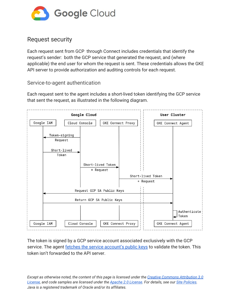

# <span id="page-8-0"></span>Request security

Each request sent from GCP through Connect includes credentials that identify the request's sender: both the GCP service that generated the request, and (where applicable) the end user for whom the request is sent. These credentials allows the GKE API server to provide authorization and auditing controls for each request.

<span id="page-8-1"></span>Service-to-agent authentication

Each request sent to the agent includes a short-lived token identifying the GCP service that sent the request, as illustrated in the following diagram.



The token is signed by a GCP service account associated exclusively with the GCP service. The agent **fetches the service account's public keys** to validate the token. This token isn't forwarded to the API server.

Except as otherwise noted, the content of this page is licensed under the Creative Commons [Attribution](http://creativecommons.org/licenses/by/3.0/) 3.0 *[License,](http://creativecommons.org/licenses/by/3.0/) and code samples are licensed under the Apache 2.0 [License.](http://www.apache.org/licenses/LICENSE-2.0) For details, see our Site [Policies.](https://cloud.google.com/site-policies) Java is a registered trademark of Oracle and/or its affiliates.*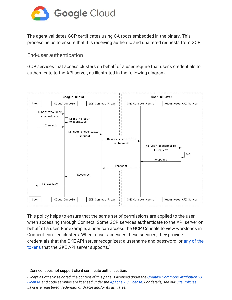

The agent validates GCP certificates using CA roots embedded in the binary. This process helps to ensure that it is receiving authentic and unaltered requests from GCP.

<span id="page-9-0"></span>End-user authentication

GCP services that access clusters on behalf of a user require that user's credentials to authenticate to the API server, as illustrated in the following diagram.



This policy helps to ensure that the same set of permissions are applied to the user when accessing through Connect. Some GCP services authenticate to the API server on behalf of a user. For example, a user can access the GCP Console to view workloads in Connect-enrolled clusters. When a user accesses these services, they provide credentials that the GKE API server recognizes: a username and password, or [any of the](https://kubernetes.io/docs/reference/access-authn-authz/authentication/#authentication-strategies) [tokens](https://kubernetes.io/docs/reference/access-authn-authz/authentication/#authentication-strategies) that the GKE API server supports.<sup>1</sup>

<sup>&</sup>lt;sup>1</sup> Connect does not support client certificate authentication.

Except as otherwise noted, the content of this page is licensed under the Creative Commons [Attribution](http://creativecommons.org/licenses/by/3.0/) 3.0 *[License,](http://creativecommons.org/licenses/by/3.0/) and code samples are licensed under the Apache 2.0 [License.](http://www.apache.org/licenses/LICENSE-2.0) For details, see our Site [Policies.](https://cloud.google.com/site-policies) Java is a registered trademark of Oracle and/or its affiliates.*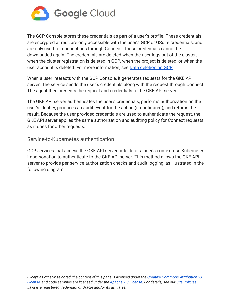

The GCP Console stores these credentials as part of a user's profile. These credentials are encrypted at rest, are only accessible with the user's GCP or GSuite credentials, and are only used for connections through Connect. These credentials cannot be downloaded again. The credentials are deleted when the user logs out of the cluster, when the cluster registration is deleted in GCP, when the project is deleted, or when the user account is deleted. For more information, see [Data deletion on GCP.](https://cloud.google.com/security/deletion/)

When a user interacts with the GCP Console, it generates requests for the GKE API server. The service sends the user's credentials along with the request through Connect. The agent then presents the request and credentials to the GKE API server.

The GKE API server authenticates the user's credentials, performs authorization on the user's identity, produces an audit event for the action ([if configured](https://kubernetes.io/docs/tasks/debug-application-cluster/audit/)), and returns the result. Because the user-provided credentials are used to authenticate the request, the GKE API server applies the same authorization and auditing policy for Connect requests as it does for other requests.

<span id="page-10-0"></span>Service-to-Kubernetes authentication

GCP services that access the GKE API server outside of a user's context use Kubernetes impersonation to authenticate to the GKE API server. This method allows the GKE API server to provide per-service authorization checks and audit logging, as illustrated in the following diagram.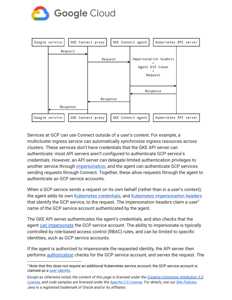



Services at GCP can use Connect outside of a user's context. For example, a multicluster ingress service can automatically synchronize ingress resources across clusters. These services don't have credentials that the GKE API server can authenticate: most API servers aren't configured to authenticate GCP service's credentials. However, an API server can delegate limited authentication privileges to another service through [impersonation](https://kubernetes.io/docs/reference/access-authn-authz/authentication/#user-impersonation), and the agent can authenticate GCP services sending requests through Connect. Together, these allow requests through the agent to authenticate as GCP service accounts.

When a GCP service sends a request on its own behalf (rather than in a user's context), the agent adds its own [Kubernetes credentials](https://kubernetes.io/docs/tasks/configure-pod-container/configure-service-account/), and [Kubernetes impersonation headers](https://kubernetes.io/docs/reference/access-authn-authz/authentication/#user-impersonation) that identify the GCP service, to the request. The impersonation headers claim a user<sup>2</sup> name of the GCP service account authenticated by the agent.

The GKE API server authenticates the agent's credentials, and also checks that the agent [can impersonate](https://kubernetes.io/docs/reference/access-authn-authz/authorization/#determine-the-request-verb) the GCP service account. The ability to impersonate is typically controlled by role-based access control (RBAC) rules, and can be limited to specific identities, such as GCP service accounts.

If the agent is authorized to impersonate the requested identity, the API server then performs [authorization](https://kubernetes.io/docs/reference/access-authn-authz/authorization/) checks for the GCP service account, and serves the request. The

<sup>&</sup>lt;sup>2</sup> Note that this does not require an additional Kubernetes service account; the GCP service account is claimed as a *user [identity](https://kubernetes.io/docs/reference/access-authn-authz/service-accounts-admin/#user-accounts-vs-service-accounts)*.

Except as otherwise noted, the content of this page is licensed under the Creative Commons [Attribution](http://creativecommons.org/licenses/by/3.0/) 3.0 *[License,](http://creativecommons.org/licenses/by/3.0/) and code samples are licensed under the Apache 2.0 [License.](http://www.apache.org/licenses/LICENSE-2.0) For details, see our Site [Policies.](https://cloud.google.com/site-policies) Java is a registered trademark of Oracle and/or its affiliates.*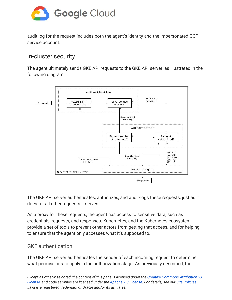

audit log for the request includes both the agent's identity and the impersonated GCP service account.

## <span id="page-12-0"></span>In-cluster security

The agent ultimately sends GKE API requests to the GKE API server, as illustrated in the following diagram.



The GKE API server authenticates, authorizes, and audit-logs these requests, just as it does for all other requests it serves.

As a proxy for these requests, the agent has access to sensitive data, such as credentials, requests, and responses. Kubernetes, and the Kubernetes ecosystem, provide a set of tools to prevent other actors from getting that access, and for helping to ensure that the agent only accesses what it's supposed to.

## <span id="page-12-1"></span>GKE authentication

The GKE API server authenticates the sender of each incoming request to determine what permissions to apply in the authorization stage. As previously described, the

Except as otherwise noted, the content of this page is licensed under the Creative Commons [Attribution](http://creativecommons.org/licenses/by/3.0/) 3.0 *[License,](http://creativecommons.org/licenses/by/3.0/) and code samples are licensed under the Apache 2.0 [License.](http://www.apache.org/licenses/LICENSE-2.0) For details, see our Site [Policies.](https://cloud.google.com/site-policies) Java is a registered trademark of Oracle and/or its affiliates.*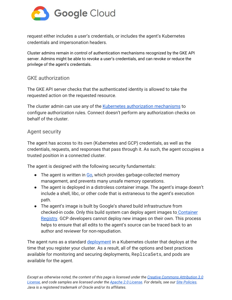

request either includes a user's credentials, or includes the agent's Kubernetes credentials and impersonation headers.

Cluster admins remain in control of authentication mechanisms recognized by the GKE API server. Admins might be able to revoke a user's credentials, and can revoke or reduce the privilege of the agent's credentials.

## <span id="page-13-0"></span>GKE authorization

The GKE API server checks that the authenticated identity is allowed to take the requested action on the requested resource.

The cluster admin can use any of the [Kubernetes authorization mechanisms](https://kubernetes.io/docs/reference/access-authn-authz/authorization/) to configure authorization rules. Connect doesn't perform any authorization checks on behalf of the cluster.

## <span id="page-13-1"></span>Agent security

The agent has access to its own (Kubernetes and GCP) credentials, as well as the credentials, requests, and responses that pass through it. As such, the agent occupies a trusted position in a connected cluster.

The agent is designed with the following security fundamentals:

- The agent is written in [Go,](http://golang.org/) which provides garbage-collected memory management, and prevents many [unsafe](https://godoc.org/unsafe) memory operations.
- The agent is deployed in a [distroless](https://github.com/GoogleContainerTools/distroless) container image. The agent's image doesn't include a [shell,](https://en.wikipedia.org/wiki/Shell_(computing)) [libc](https://wikipedia.org/wiki/C_standard_library), or other code that is extraneous to the agent's execution path.
- The agent's image is built by Google's shared build infrastructure from checked-in code. Only this build system can deploy agent images to [Container](http://gcr.io/) [Registry.](http://gcr.io/) GCP developers cannot deploy new images on their own. This process helps to ensure that all edits to the agent's source can be traced back to an author and reviewer for non-repudiation.

The agent runs as a standard [deployment](https://cloud.google.com/kubernetes-engine/docs/concepts/deployment) in a Kubernetes cluster that deploys at the time that you register your cluster. As a result, all of the options and best practices available for monitoring and securing deployments, ReplicaSets, and pods are available for the agent.